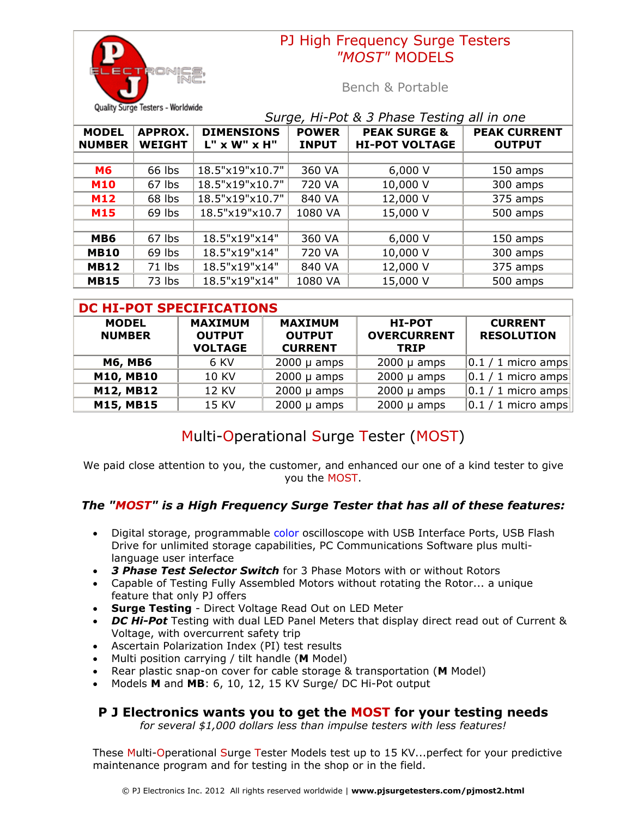

## PJ High Frequency Surge Testers *"MOST"* MODELS

Bench & Portable

| Surge, Hi-Pot & 3 Phase Testing all in one |                                 |                                      |                              |                                                  |                                      |  |
|--------------------------------------------|---------------------------------|--------------------------------------|------------------------------|--------------------------------------------------|--------------------------------------|--|
| <b>MODEL</b><br><b>NUMBER</b>              | <b>APPROX.</b><br><b>WEIGHT</b> | <b>DIMENSIONS</b><br>$L''$ x W" x H" | <b>POWER</b><br><b>INPUT</b> | <b>PEAK SURGE &amp;</b><br><b>HI-POT VOLTAGE</b> | <b>PEAK CURRENT</b><br><b>OUTPUT</b> |  |
|                                            |                                 |                                      |                              |                                                  |                                      |  |
| <b>M6</b>                                  | 66 lbs                          | 18.5"x19"x10.7"                      | 360 VA                       | 6,000V                                           | 150 amps                             |  |
| <b>M10</b>                                 | 67 lbs                          | 18.5"x19"x10.7"                      | 720 VA                       | 10,000 V                                         | 300 amps                             |  |
| <b>M12</b>                                 | 68 lbs                          | 18.5"x19"x10.7"                      | 840 VA                       | 12,000 V                                         | 375 amps                             |  |
| <b>M15</b>                                 | 69 lbs                          | 18.5"x19"x10.7                       | 1080 VA                      | 15,000 V                                         | 500 amps                             |  |
|                                            |                                 |                                      |                              |                                                  |                                      |  |
| MB <sub>6</sub>                            | 67 lbs                          | 18.5"x19"x14"                        | 360 VA                       | 6,000V                                           | 150 amps                             |  |
| <b>MB10</b>                                | 69 lbs                          | 18.5"x19"x14"                        | 720 VA                       | 10,000 V                                         | 300 amps                             |  |
| <b>MB12</b>                                | 71 lbs                          | 18.5"x19"x14"                        | 840 VA                       | 12,000 V                                         | 375 amps                             |  |
| <b>MB15</b>                                | 73 lbs                          | 18.5"x19"x14"                        | 1080 VA                      | 15,000 V                                         | 500 amps                             |  |

| <b>DC HI-POT SPECIFICATIONS</b> |                                                   |                                                   |                                                    |                                     |  |  |  |  |
|---------------------------------|---------------------------------------------------|---------------------------------------------------|----------------------------------------------------|-------------------------------------|--|--|--|--|
| <b>MODEL</b><br><b>NUMBER</b>   | <b>MAXIMUM</b><br><b>OUTPUT</b><br><b>VOLTAGE</b> | <b>MAXIMUM</b><br><b>OUTPUT</b><br><b>CURRENT</b> | <b>HI-POT</b><br><b>OVERCURRENT</b><br><b>TRIP</b> | <b>CURRENT</b><br><b>RESOLUTION</b> |  |  |  |  |
| <b>M6, MB6</b>                  | 6 KV                                              | $2000 \mu$ amps                                   | $2000 \mu$ amps                                    | $ 0.1/1$ micro amps                 |  |  |  |  |
| <b>M10, MB10</b>                | <b>10 KV</b>                                      | $2000 \mu$ amps                                   | $2000 \mu$ amps                                    | $ 0.1/1$ micro amps                 |  |  |  |  |
| M12, MB12                       | <b>12 KV</b>                                      | $2000 \mu$ amps                                   | $2000 \mu$ amps                                    | $ 0.1/1$ micro amps                 |  |  |  |  |
| M15, MB15                       | 15 KV                                             | $2000 \mu$ amps                                   | $2000 \mu$ amps                                    | $ 0.1/1$ micro amps                 |  |  |  |  |

# Multi-Operational Surge Tester (MOST)

We paid close attention to you, the customer, and enhanced our one of a kind tester to give you the MOST.

### *The "MOST" is a High Frequency Surge Tester that has all of these features:*

- Digital storage, programmable color oscilloscope with USB Interface Ports, USB Flash Drive for unlimited storage capabilities, PC Communications Software plus multilanguage user interface
- *3 Phase Test Selector Switch* for 3 Phase Motors with or without Rotors
- Capable of Testing Fully Assembled Motors without rotating the Rotor... a unique feature that only PJ offers
- **Surge Testing** Direct Voltage Read Out on LED Meter
- *DC Hi-Pot* Testing with dual LED Panel Meters that display direct read out of Current & Voltage, with overcurrent safety trip
- Ascertain Polarization Index (PI) test results
- Multi position carrying / tilt handle (**M** Model)
- Rear plastic snap-on cover for cable storage & transportation (**M** Model)
- Models **M** and **MB**: 6, 10, 12, 15 KV Surge/ DC Hi-Pot output

### **P J Electronics wants you to get the MOST for your testing needs**

*for several \$1,000 dollars less than impulse testers with less features!*

These Multi-Operational Surge Tester Models test up to 15 KV...perfect for your predictive maintenance program and for testing in the shop or in the field.